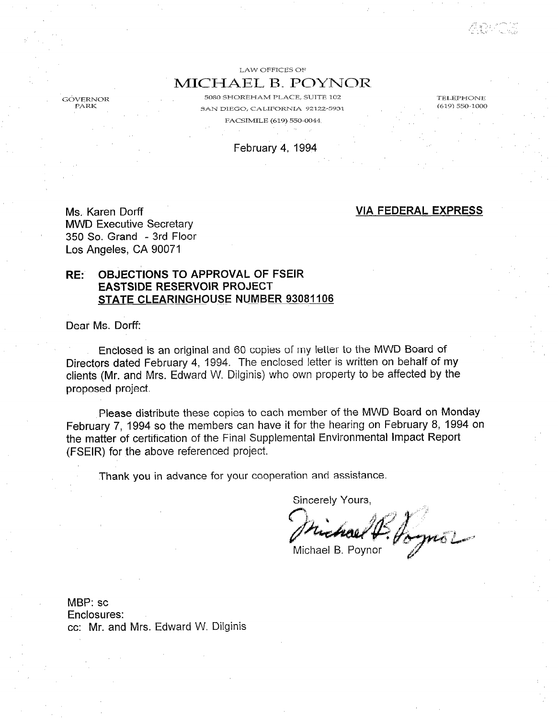LAW OFFICES OF

## MICHAEL B. POYNOR

G&'ERNOR 5060 SHOREHAM PLACE, SUTTE 102 TELEP~IONE SAN DIEGO, CALIFORNIA 92122-5931 FACSIMILE (619) 550-0044

February 4, 1994

Ms. Karen Dorff

## VIA FEDERAL EXPRESS

MWD Executive Secretary 350 So. Grand - 3rd Floor Los Angeles, CA 90071

## RE: OBJECTIONS TO APPROVAL OF FSEIR EASTSIDE RESERVOIR PROJECT STATE CLEARINGHOUSE NUMBER 93081106

Dear Ms. Dorff:

Enclosed is an original and 60 copies of my letter to the MWD Board of Directors dated February 4, 1994. The enclosed letter is written on behalf of my clients (Mr. and Mrs. Edward W. Dilginis) who own property to be affected by the proposed project.

Please distribute these copies to each member of the MWD Board on Monday February 7, 1994 so the members can have it for the hearing on February 8, 1994 on the matter of certification of the Final Supplemental Environmental Impact Report (FSEIR) for the above referenced project.

Thank you in advance for your cooperation and assistance.

Sincerely Yours,

Michael B. Poynor

MBP: SC Enclosures: cc: Mr. and Mrs. Edward W. Dilginis